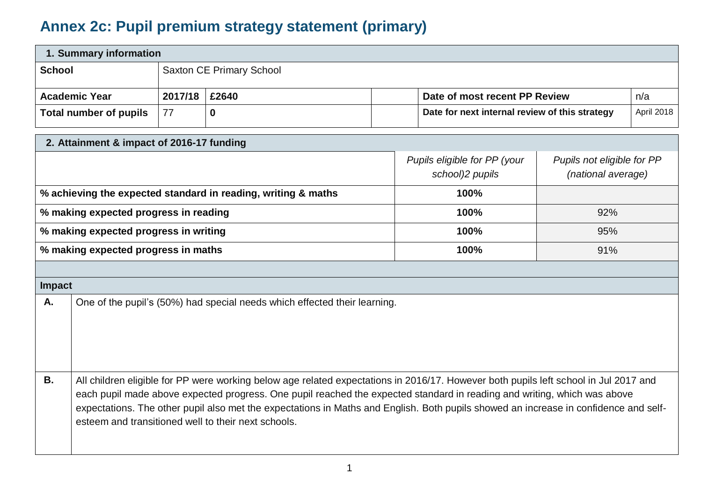## **Annex 2c: Pupil premium strategy statement (primary)**

| 1. Summary information |                                 |  |  |                                                |            |  |
|------------------------|---------------------------------|--|--|------------------------------------------------|------------|--|
| <b>School</b>          | <b>Saxton CE Primary School</b> |  |  |                                                |            |  |
| <b>Academic Year</b>   | 2017/18   £2640                 |  |  | Date of most recent PP Review                  | n/a        |  |
| Total number of pupils | <u>177</u>                      |  |  | Date for next internal review of this strategy | April 2018 |  |

| 2. Attainment & impact of 2016-17 funding                     |                                                                                                                                                                                                                                                                                                                                                                                                                                                                 |                                                 |                                                  |  |  |
|---------------------------------------------------------------|-----------------------------------------------------------------------------------------------------------------------------------------------------------------------------------------------------------------------------------------------------------------------------------------------------------------------------------------------------------------------------------------------------------------------------------------------------------------|-------------------------------------------------|--------------------------------------------------|--|--|
|                                                               |                                                                                                                                                                                                                                                                                                                                                                                                                                                                 | Pupils eligible for PP (your<br>school)2 pupils | Pupils not eligible for PP<br>(national average) |  |  |
| % achieving the expected standard in reading, writing & maths |                                                                                                                                                                                                                                                                                                                                                                                                                                                                 | 100%                                            |                                                  |  |  |
| % making expected progress in reading                         |                                                                                                                                                                                                                                                                                                                                                                                                                                                                 | 100%                                            | 92%                                              |  |  |
| % making expected progress in writing                         |                                                                                                                                                                                                                                                                                                                                                                                                                                                                 | 100%                                            | 95%                                              |  |  |
| % making expected progress in maths                           |                                                                                                                                                                                                                                                                                                                                                                                                                                                                 | 100%                                            | 91%                                              |  |  |
|                                                               |                                                                                                                                                                                                                                                                                                                                                                                                                                                                 |                                                 |                                                  |  |  |
| Impact                                                        |                                                                                                                                                                                                                                                                                                                                                                                                                                                                 |                                                 |                                                  |  |  |
| Α.                                                            | One of the pupil's (50%) had special needs which effected their learning.                                                                                                                                                                                                                                                                                                                                                                                       |                                                 |                                                  |  |  |
| <b>B.</b>                                                     | All children eligible for PP were working below age related expectations in 2016/17. However both pupils left school in Jul 2017 and<br>each pupil made above expected progress. One pupil reached the expected standard in reading and writing, which was above<br>expectations. The other pupil also met the expectations in Maths and English. Both pupils showed an increase in confidence and self-<br>esteem and transitioned well to their next schools. |                                                 |                                                  |  |  |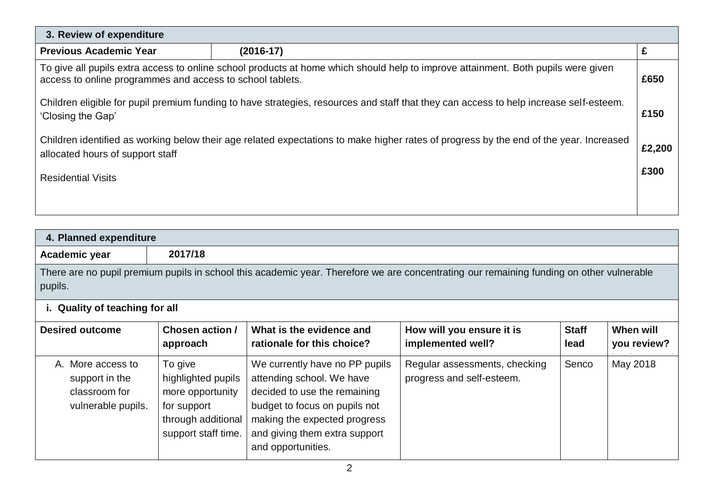| 3. Review of expenditure                                                                                                                                                                       |  |  |  |  |  |
|------------------------------------------------------------------------------------------------------------------------------------------------------------------------------------------------|--|--|--|--|--|
| <b>Previous Academic Year</b><br>$(2016-17)$                                                                                                                                                   |  |  |  |  |  |
| To give all pupils extra access to online school products at home which should help to improve attainment. Both pupils were given<br>access to online programmes and access to school tablets. |  |  |  |  |  |
| Children eligible for pupil premium funding to have strategies, resources and staff that they can access to help increase self-esteem.<br>'Closing the Gap'                                    |  |  |  |  |  |
| Children identified as working below their age related expectations to make higher rates of progress by the end of the year. Increased<br>allocated hours of support staff                     |  |  |  |  |  |
| <b>Residential Visits</b>                                                                                                                                                                      |  |  |  |  |  |
|                                                                                                                                                                                                |  |  |  |  |  |

| 4. Planned expenditure                                                     |                                                                                                               |                                                                                                                                                                                                                     |                                                                                                                                          |                      |                          |  |
|----------------------------------------------------------------------------|---------------------------------------------------------------------------------------------------------------|---------------------------------------------------------------------------------------------------------------------------------------------------------------------------------------------------------------------|------------------------------------------------------------------------------------------------------------------------------------------|----------------------|--------------------------|--|
| Academic year                                                              | 2017/18                                                                                                       |                                                                                                                                                                                                                     |                                                                                                                                          |                      |                          |  |
| pupils.                                                                    |                                                                                                               |                                                                                                                                                                                                                     | There are no pupil premium pupils in school this academic year. Therefore we are concentrating our remaining funding on other vulnerable |                      |                          |  |
| i. Quality of teaching for all                                             |                                                                                                               |                                                                                                                                                                                                                     |                                                                                                                                          |                      |                          |  |
| <b>Desired outcome</b>                                                     | <b>Chosen action /</b><br>approach                                                                            | What is the evidence and<br>rationale for this choice?                                                                                                                                                              | How will you ensure it is<br>implemented well?                                                                                           | <b>Staff</b><br>lead | When will<br>you review? |  |
| A. More access to<br>support in the<br>classroom for<br>vulnerable pupils. | To give<br>highlighted pupils<br>more opportunity<br>for support<br>through additional<br>support staff time. | We currently have no PP pupils<br>attending school. We have<br>decided to use the remaining<br>budget to focus on pupils not<br>making the expected progress<br>and giving them extra support<br>and opportunities. | Regular assessments, checking<br>progress and self-esteem.                                                                               | Senco                | May 2018                 |  |